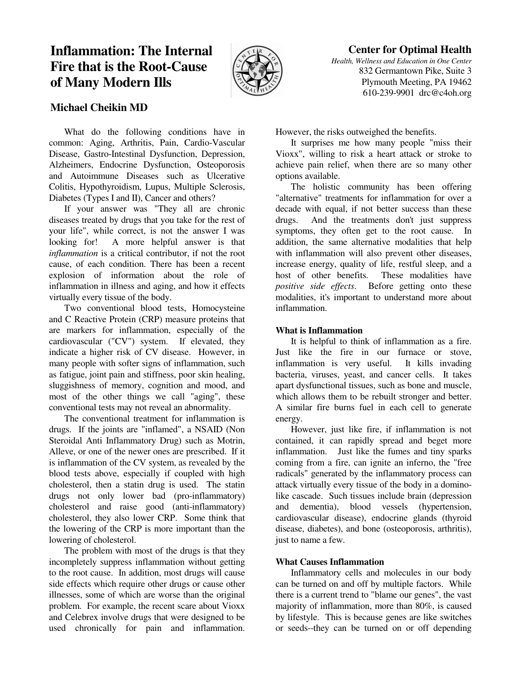# **Inflammation: The Internal Fire that is the Root-Cause of Many Modern Ills**



## **Center for Optimal Health**

*Health, Wellness and Education in One Center* 832 Germantown Pike, Suite 3 Plymouth Meeting, PA 19462 610-239-9901 drc@c4oh.org

## **Michael Cheikin MD**

 What do the following conditions have in common: Aging, Arthritis, Pain, Cardio-Vascular Disease, Gastro-Intestinal Dysfunction, Depression, Alzheimers, Endocrine Dysfunction, Osteoporosis and Autoimmune Diseases such as Ulcerative Colitis, Hypothyroidism, Lupus, Multiple Sclerosis, Diabetes (Types I and II), Cancer and others?

 If your answer was "They all are chronic diseases treated by drugs that you take for the rest of your life", while correct, is not the answer I was looking for! A more helpful answer is that *inflammation* is a critical contributor, if not the root cause, of each condition. There has been a recent explosion of information about the role of inflammation in illness and aging, and how it effects virtually every tissue of the body.

 Two conventional blood tests, Homocysteine and C Reactive Protein (CRP) measure proteins that are markers for inflammation, especially of the cardiovascular ("CV") system. If elevated, they indicate a higher risk of CV disease. However, in many people with softer signs of inflammation, such as fatigue, joint pain and stiffness, poor skin healing, sluggishness of memory, cognition and mood, and most of the other things we call "aging", these conventional tests may not reveal an abnormality.

 The conventional treatment for inflammation is drugs. If the joints are "inflamed", a NSAID (Non Steroidal Anti Inflammatory Drug) such as Motrin, Alleve, or one of the newer ones are prescribed. If it is inflammation of the CV system, as revealed by the blood tests above, especially if coupled with high cholesterol, then a statin drug is used. The statin drugs not only lower bad (pro-inflammatory) cholesterol and raise good (anti-inflammatory) cholesterol, they also lower CRP. Some think that the lowering of the CRP is more important than the lowering of cholesterol.

 The problem with most of the drugs is that they incompletely suppress inflammation without getting to the root cause. In addition, most drugs will cause side effects which require other drugs or cause other illnesses, some of which are worse than the original problem. For example, the recent scare about Vioxx and Celebrex involve drugs that were designed to be used chronically for pain and inflammation. However, the risks outweighed the benefits.

 It surprises me how many people "miss their Vioxx", willing to risk a heart attack or stroke to achieve pain relief, when there are so many other options available.

 The holistic community has been offering "alternative" treatments for inflammation for over a decade with equal, if not better success than these drugs. And the treatments don't just suppress symptoms, they often get to the root cause. In addition, the same alternative modalities that help with inflammation will also prevent other diseases, increase energy, quality of life, restful sleep, and a host of other benefits. These modalities have *positive side effects*. Before getting onto these modalities, it's important to understand more about inflammation.

### **What is Inflammation**

 It is helpful to think of inflammation as a fire. Just like the fire in our furnace or stove, inflammation is very useful. It kills invading bacteria, viruses, yeast, and cancer cells. It takes apart dysfunctional tissues, such as bone and muscle, which allows them to be rebuilt stronger and better. A similar fire burns fuel in each cell to generate energy.

 However, just like fire, if inflammation is not contained, it can rapidly spread and beget more inflammation. Just like the fumes and tiny sparks coming from a fire, can ignite an inferno, the "free radicals" generated by the inflammatory process can attack virtually every tissue of the body in a dominolike cascade. Such tissues include brain (depression and dementia), blood vessels (hypertension, cardiovascular disease), endocrine glands (thyroid disease, diabetes), and bone (osteoporosis, arthritis), just to name a few.

## **What Causes Inflammation**

 Inflammatory cells and molecules in our body can be turned on and off by multiple factors. While there is a current trend to "blame our genes", the vast majority of inflammation, more than 80%, is caused by lifestyle. This is because genes are like switches or seeds--they can be turned on or off depending